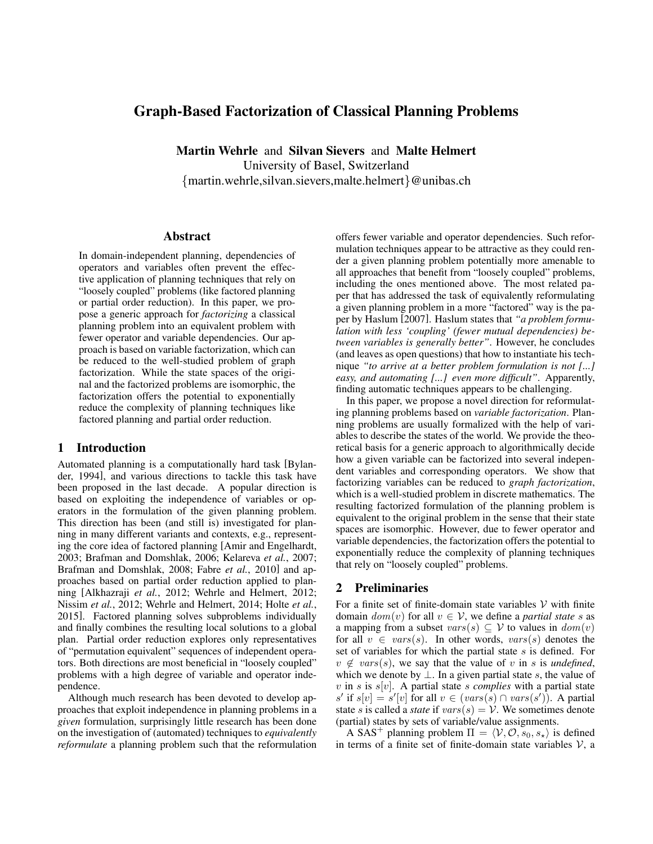# Graph-Based Factorization of Classical Planning Problems

Martin Wehrle and Silvan Sievers and Malte Helmert University of Basel, Switzerland {martin.wehrle,silvan.sievers,malte.helmert}@unibas.ch

#### Abstract

In domain-independent planning, dependencies of operators and variables often prevent the effective application of planning techniques that rely on "loosely coupled" problems (like factored planning or partial order reduction). In this paper, we propose a generic approach for *factorizing* a classical planning problem into an equivalent problem with fewer operator and variable dependencies. Our approach is based on variable factorization, which can be reduced to the well-studied problem of graph factorization. While the state spaces of the original and the factorized problems are isomorphic, the factorization offers the potential to exponentially reduce the complexity of planning techniques like factored planning and partial order reduction.

### 1 Introduction

Automated planning is a computationally hard task [Bylander, 1994], and various directions to tackle this task have been proposed in the last decade. A popular direction is based on exploiting the independence of variables or operators in the formulation of the given planning problem. This direction has been (and still is) investigated for planning in many different variants and contexts, e.g., representing the core idea of factored planning [Amir and Engelhardt, 2003; Brafman and Domshlak, 2006; Kelareva *et al.*, 2007; Brafman and Domshlak, 2008; Fabre *et al.*, 2010] and approaches based on partial order reduction applied to planning [Alkhazraji *et al.*, 2012; Wehrle and Helmert, 2012; Nissim *et al.*, 2012; Wehrle and Helmert, 2014; Holte *et al.*, 2015]. Factored planning solves subproblems individually and finally combines the resulting local solutions to a global plan. Partial order reduction explores only representatives of "permutation equivalent" sequences of independent operators. Both directions are most beneficial in "loosely coupled" problems with a high degree of variable and operator independence.

Although much research has been devoted to develop approaches that exploit independence in planning problems in a *given* formulation, surprisingly little research has been done on the investigation of (automated) techniques to *equivalently reformulate* a planning problem such that the reformulation offers fewer variable and operator dependencies. Such reformulation techniques appear to be attractive as they could render a given planning problem potentially more amenable to all approaches that benefit from "loosely coupled" problems, including the ones mentioned above. The most related paper that has addressed the task of equivalently reformulating a given planning problem in a more "factored" way is the paper by Haslum [2007]. Haslum states that *"a problem formulation with less 'coupling' (fewer mutual dependencies) between variables is generally better"*. However, he concludes (and leaves as open questions) that how to instantiate his technique *"to arrive at a better problem formulation is not [...] easy, and automating [...] even more difficult"*. Apparently, finding automatic techniques appears to be challenging.

In this paper, we propose a novel direction for reformulating planning problems based on *variable factorization*. Planning problems are usually formalized with the help of variables to describe the states of the world. We provide the theoretical basis for a generic approach to algorithmically decide how a given variable can be factorized into several independent variables and corresponding operators. We show that factorizing variables can be reduced to *graph factorization*, which is a well-studied problem in discrete mathematics. The resulting factorized formulation of the planning problem is equivalent to the original problem in the sense that their state spaces are isomorphic. However, due to fewer operator and variable dependencies, the factorization offers the potential to exponentially reduce the complexity of planning techniques that rely on "loosely coupled" problems.

#### 2 Preliminaries

For a finite set of finite-domain state variables  $V$  with finite domain  $dom(v)$  for all  $v \in V$ , we define a *partial state* s as a mapping from a subset  $vars(s) \subseteq V$  to values in  $dom(v)$ for all  $v \in vars(s)$ . In other words,  $vars(s)$  denotes the set of variables for which the partial state  $s$  is defined. For  $v \notin vars(s)$ , we say that the value of v in s is *undefined*, which we denote by  $\perp$ . In a given partial state s, the value of  $v$  in s is  $s[v]$ . A partial state s *complies* with a partial state s' if  $s[v] = s'[v]$  for all  $v \in (vars(s) \cap vars(s'))$ . A partial state s is called a *state* if  $vars(s) = V$ . We sometimes denote (partial) states by sets of variable/value assignments.

A SAS<sup>+</sup> planning problem  $\Pi = \langle V, O, s_0, s_* \rangle$  is defined in terms of a finite set of finite-domain state variables  $V$ , a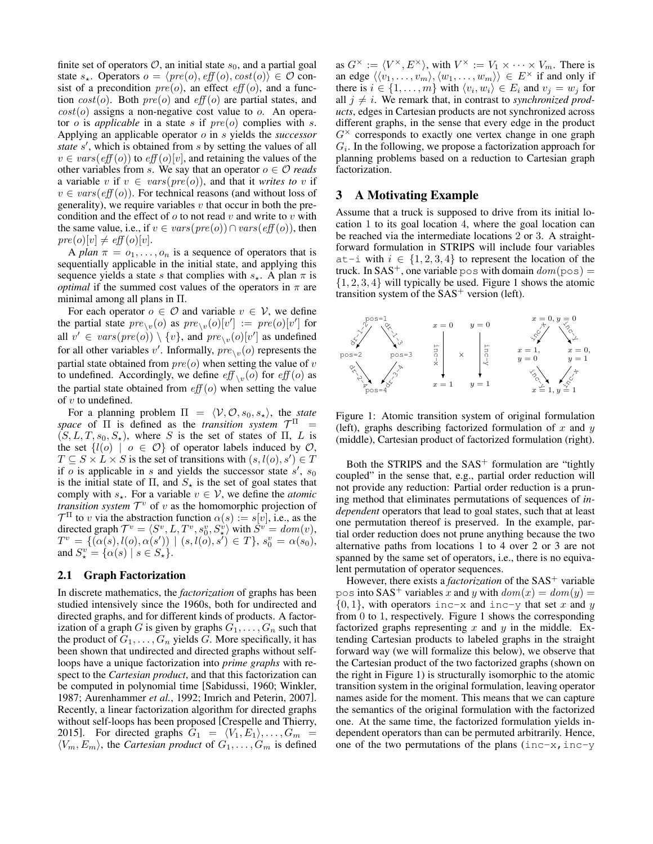finite set of operators  $\mathcal{O}$ , an initial state  $s_0$ , and a partial goal state  $s_{\star}$ . Operators  $o = \langle pre(o), eff(o), cost(o) \rangle \in \mathcal{O}$  consist of a precondition  $pre(o)$ , an effect  $eff(o)$ , and a function  $cost(o)$ . Both  $pre(o)$  and  $eff(o)$  are partial states, and  $cost(o)$  assigns a non-negative cost value to  $o$ . An operator  $o$  is *applicable* in a state  $s$  if  $pre(o)$  complies with  $s$ . Applying an applicable operator o in s yields the *successor* state s', which is obtained from s by setting the values of all  $v \in vars(eff(o))$  to  $eff(o)[v]$ , and retaining the values of the other variables from s. We say that an operator  $o \in \mathcal{O}$  *reads* a variable v if  $v \in vars(pre(o))$ , and that it *writes to* v if  $v \in vars(eff(o))$ . For technical reasons (and without loss of generality), we require variables  $v$  that occur in both the precondition and the effect of  $o$  to not read  $v$  and write to  $v$  with the same value, i.e., if  $v \in vars(pre(o)) \cap vars(eff(o))$ , then  $pre(o)[v] \neq eff(o)[v].$ 

A *plan*  $\pi = o_1, \ldots, o_n$  is a sequence of operators that is sequentially applicable in the initial state, and applying this sequence yields a state s that complies with  $s_{\star}$ . A plan  $\pi$  is *optimal* if the summed cost values of the operators in  $\pi$  are minimal among all plans in Π.

For each operator  $o \in \mathcal{O}$  and variable  $v \in \mathcal{V}$ , we define the partial state  $pre_{\setminus v}(o)$  as  $pre_{\setminus v}(o)[v'] := pre(o)[v']$  for all  $v' \in vars(pre(o)) \setminus \{v\}$ , and  $pre_{\setminus v}(o)[v']$  as undefined for all other variables v'. Informally,  $\text{pre}_{\setminus v}(o)$  represents the partial state obtained from  $pre(o)$  when setting the value of v to undefined. Accordingly, we define  $\mathit{eff}_{\setminus v}(o)$  for  $\mathit{eff}(o)$  as the partial state obtained from  $\text{eff}(o)$  when setting the value of  $v$  to undefined.

For a planning problem  $\Pi = \langle V, O, s_0, s_* \rangle$ , the *state space* of  $\Pi$  is defined as the *transition system*  $\mathcal{T}^{\Pi}$  =  $(S, L, T, s_0, S_*)$ , where S is the set of states of Π, L is the set  $\{l(o) \mid o \in \mathcal{O}\}\$  of operator labels induced by  $\mathcal{O}$ ,  $T \subseteq S \times L \times S$  is the set of transitions with  $(s, l(o), s') \in T$ if o is applicable in s and yields the successor state  $s'$ ,  $s_0$ is the initial state of  $\Pi$ , and  $S_{\star}$  is the set of goal states that comply with  $s_{\star}$ . For a variable  $v \in V$ , we define the *atomic transition system*  $\mathcal{T}^v$  of v as the homomorphic projection of  $\mathcal{T}^{\Pi}$  to v via the abstraction function  $\alpha(s) := s[v]$ , i.e., as the directed graph  $\mathcal{T}^v = \langle S^v, L, T^v, s_0^v, S_{\star}^v \rangle$  with  $\tilde{S}^v = \text{dom}(v)$ ,  $T^v\,=\, \{(\alpha(s), l(o), \alpha(s'))\,\,|\,\, (s, l(o), s')\,\in\, T\},\, s^v_0\,=\, \alpha(s_0),$ and  $S^v_\star = \{ \alpha(s) \mid s \in S^v_\star \}.$ 

#### 2.1 Graph Factorization

In discrete mathematics, the *factorization* of graphs has been studied intensively since the 1960s, both for undirected and directed graphs, and for different kinds of products. A factorization of a graph G is given by graphs  $G_1, \ldots, G_n$  such that the product of  $G_1, \ldots, G_n$  yields G. More specifically, it has been shown that undirected and directed graphs without selfloops have a unique factorization into *prime graphs* with respect to the *Cartesian product*, and that this factorization can be computed in polynomial time [Sabidussi, 1960; Winkler, 1987; Aurenhammer *et al.*, 1992; Imrich and Peterin, 2007]. Recently, a linear factorization algorithm for directed graphs without self-loops has been proposed [Crespelle and Thierry, 2015]. For directed graphs  $G_1 = \langle V_1, E_1 \rangle, \ldots, G_m =$  $\langle V_m, E_m \rangle$ , the *Cartesian product* of  $G_1, \ldots, G_m$  is defined

as  $G^{\times} := \langle V^{\times}, E^{\times} \rangle$ , with  $V^{\times} := V_1 \times \cdots \times V_m$ . There is an edge  $\langle \langle v_1, \ldots, v_m \rangle, \langle w_1, \ldots, w_m \rangle \rangle \in E^{\times}$  if and only if there is  $i \in \{1, \ldots, m\}$  with  $\langle v_i, w_i \rangle \in E_i$  and  $v_j = w_j$  for all  $j \neq i$ . We remark that, in contrast to *synchronized products*, edges in Cartesian products are not synchronized across different graphs, in the sense that every edge in the product  $G^{\times}$  corresponds to exactly one vertex change in one graph  $G_i$ . In the following, we propose a factorization approach for planning problems based on a reduction to Cartesian graph factorization.

#### 3 A Motivating Example

Assume that a truck is supposed to drive from its initial location 1 to its goal location 4, where the goal location can be reached via the intermediate locations 2 or 3. A straightforward formulation in STRIPS will include four variables at-i with  $i \in \{1, 2, 3, 4\}$  to represent the location of the truck. In  $SAS^+$ , one variable pos with domain  $dom(p \circ s) =$  $\{1, 2, 3, 4\}$  will typically be used. Figure 1 shows the atomic transition system of the  $SAS<sup>+</sup>$  version (left).



Figure 1: Atomic transition system of original formulation (left), graphs describing factorized formulation of  $x$  and  $y$ (middle), Cartesian product of factorized formulation (right).

Both the STRIPS and the  $SAS<sup>+</sup>$  formulation are "tightly" coupled" in the sense that, e.g., partial order reduction will not provide any reduction: Partial order reduction is a pruning method that eliminates permutations of sequences of *independent* operators that lead to goal states, such that at least one permutation thereof is preserved. In the example, partial order reduction does not prune anything because the two alternative paths from locations 1 to 4 over 2 or 3 are not spanned by the same set of operators, i.e., there is no equivalent permutation of operator sequences.

However, there exists a *factorization* of the SAS<sup>+</sup> variable pos into SAS<sup>+</sup> variables x and y with  $dom(x) = dom(y)$  =  $\{0, 1\}$ , with operators inc-x and inc-y that set x and y from 0 to 1, respectively. Figure 1 shows the corresponding factorized graphs representing  $x$  and  $y$  in the middle. Extending Cartesian products to labeled graphs in the straight forward way (we will formalize this below), we observe that the Cartesian product of the two factorized graphs (shown on the right in Figure 1) is structurally isomorphic to the atomic transition system in the original formulation, leaving operator names aside for the moment. This means that we can capture the semantics of the original formulation with the factorized one. At the same time, the factorized formulation yields independent operators than can be permuted arbitrarily. Hence, one of the two permutations of the plans (inc-x, inc-y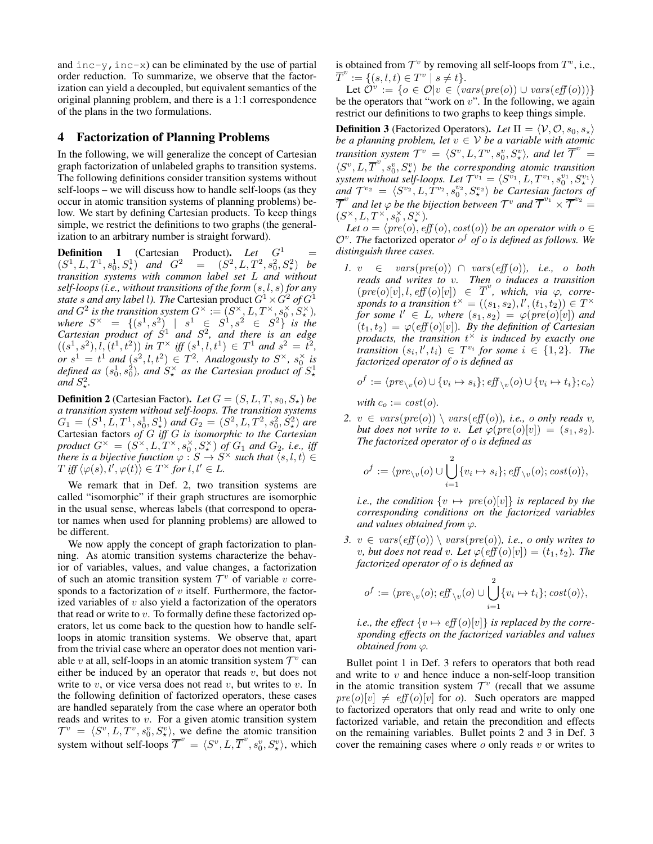and  $inc-y$ ,  $inc-x$ ) can be eliminated by the use of partial order reduction. To summarize, we observe that the factorization can yield a decoupled, but equivalent semantics of the original planning problem, and there is a 1:1 correspondence of the plans in the two formulations.

#### 4 Factorization of Planning Problems

In the following, we will generalize the concept of Cartesian graph factorization of unlabeled graphs to transition systems. The following definitions consider transition systems without self-loops – we will discuss how to handle self-loops (as they occur in atomic transition systems of planning problems) below. We start by defining Cartesian products. To keep things simple, we restrict the definitions to two graphs (the generalization to an arbitrary number is straight forward).

**Definition** 1 (Cartesian Product). *Let*  $G^1$  =  $(S^1, L, T^1, s_0^1, S^1)$  *and*  $G^2 = (S^2, L, T^2, s_0^2, S^2)$  *be transition systems with common label set* L *and without self-loops (i.e., without transitions of the form* (s, l, s) *for any state s and any label l). The* Cartesian product  $G^1 \times G^2$  *of*  $G^1$ and  $G^2$  is the transition system  $G^{\times} := (S^{\times}, L, T^{\times}, s_0^{\times}, S_{\star}^{\times}),$  $where S^{\times} = \{(s^1, s^2) \mid s^1 \in S^1, s^2 \in S^2\}$  *is the Cartesian product of*  $S^1$  *and*  $S^2$ *, and there is an edge*  $((s^1, s^2), l, (t^1, t^2))$  in  $T^{\times}$  iff  $(s^1, l, t^1) \in T^1$  and  $s^2 = t^2$ , *or*  $s^1 = t^1$  *and*  $(s^2, l, t^2) \in T^2$ *. Analogously to*  $S^{\times}$ *,*  $s_0^{\times}$  *is* defined as  $(s_0^1, s_0^2)$ , and  $S_\star^\times$  as the Cartesian product of  $S_\star^1$ and  $S^2$ .

**Definition 2** (Cartesian Factor). Let  $G = (S, L, T, s_0, S_*)$  be *a transition system without self-loops. The transition systems*  $G_1 = (S^1, L, T^1, s_0^1, S_\star^1)$  and  $G_2 = (S^2, L, T^2, s_0^2, S_\star^2)$  are Cartesian factors *of* G *iff* G *is isomorphic to the Cartesian*  $p$ roduct  $G^{\times} = (S^{\times}, L, T^{\times}, s_0^{\times}, S_{\star}^{\times})$  of  $G_1$  and  $G_2$ , i.e., iff *there is a bijective function*  $\varphi : S \to S^{\times}$  *such that*  $\langle s, l, t \rangle \in$  $T \text{ iff } \langle \varphi(s), \overline{l'}, \varphi(t) \rangle \in T^{\times} \text{ for } l, l' \in L.$ 

We remark that in Def. 2, two transition systems are called "isomorphic" if their graph structures are isomorphic in the usual sense, whereas labels (that correspond to operator names when used for planning problems) are allowed to be different.

We now apply the concept of graph factorization to planning. As atomic transition systems characterize the behavior of variables, values, and value changes, a factorization of such an atomic transition system  $\mathcal{T}^v$  of variable v corresponds to a factorization of  $v$  itself. Furthermore, the factorized variables of  $v$  also yield a factorization of the operators that read or write to  $v$ . To formally define these factorized operators, let us come back to the question how to handle selfloops in atomic transition systems. We observe that, apart from the trivial case where an operator does not mention variable v at all, self-loops in an atomic transition system  $\mathcal{T}^v$  can either be induced by an operator that reads  $v$ , but does not write to  $v$ , or vice versa does not read  $v$ , but writes to  $v$ . In the following definition of factorized operators, these cases are handled separately from the case where an operator both reads and writes to v. For a given atomic transition system  $\mathcal{T}^v = \langle S^v, L, T^v, s_0^v, S_x^v \rangle$ , we define the atomic transition system without self-loops  $\overline{\mathcal{T}}^v = \langle S^v, L, \overline{T}^v, s_0^v, S_\star^v \rangle$ , which is obtained from  $\mathcal{T}^v$  by removing all self-loops from  $T^v$ , i.e.,  $\overline{T}^v := \{ (s, l, t) \in T^v \mid s \neq t \}.$ 

Let  $\hat{\mathcal{O}}^v := \{o \in \mathcal{O} | v \in (vars(pre(o)) \cup vars(eff(o)))\}$ be the operators that "work on  $v$ ". In the following, we again restrict our definitions to two graphs to keep things simple.

**Definition 3** (Factorized Operators). Let  $\Pi = \langle V, \mathcal{O}, s_0, s_\star \rangle$ *be a planning problem, let*  $v \in V$  *be a variable with atomic transition system*  $T^v = \langle S^v, L, T^v, s_0^v, S_x^v \rangle$ , and let  $\overline{T}^v =$  $\langle S^v, L, \overline{T}^v, s_0^v, S_x^v \rangle$  be the corresponding atomic transition *system without self-loops. Let*  $\mathcal{T}^{v_1} = \langle S^{v_1}, L, T^{v_1}, s_0^{v_1}, S_{\star}^{v_1} \rangle$ system without set *j*-toops. Let  $f^* = \langle S^* , L, I^* , s_0^*, s_{\mathbf{x}}^* \rangle$ <br>and  $T^{v_2} = \langle S^{v_2}, L, T^{v_2}, s_0^{v_2}, S_{\mathbf{x}}^{v_2} \rangle$  be Cartesian factors of  $\overline{\mathcal{T}}^v$  and let  $\varphi$  be the bijection between  $\mathcal{T}^v$  and  $\overline{\mathcal{T}}^{v_1}\times \overline{\mathcal{T}}^{v_2}=0$  $(S^\times, L, T^\times, s_0^\times, S_\star^\times).$ 

*Let*  $o = \langle pre(o), eff(o), cost(o) \rangle$  *be an operator with*  $o \in$ O<sup>v</sup> *. The* factorized operator o <sup>f</sup> *of* o *is defined as follows. We distinguish three cases.*

*1.*  $v \in vars(pre(o)) \cap vars(eff(o)),$  *i.e., o both reads and writes to* v*. Then* o *induces a transition*  $(re^{i\omega}$  and *writes* to c. There conduces a manifold  $(re^{i\omega})[v], l, eff(o)[v]) \in \overline{T}^v$ , which, via  $\varphi$ , corresponds to a transition  $t^{\times} = ((s_1, s_2), l', (t_1, t_2)) \in T^{\times}$ *for some*  $l' \in L$ *, where*  $(s_1, s_2) = \varphi(pre(o)[v])$  *and*  $(t_1, t_2) = \varphi(\text{eff}(o)[v])$ . By the definition of Cartesian *products, the transition* t <sup>×</sup> *is induced by exactly one transition*  $(s_i, l', t_i) \in T^{v_i}$  *for some*  $i \in \{1, 2\}$ *. The factorized operator of* o *is defined as*

$$
o^f := \langle pre_{\setminus v}(o) \cup \{v_i \mapsto s_i\}; \text{eff}_{\setminus v}(o) \cup \{v_i \mapsto t_i\}; c_o \rangle
$$
  
with  $c_o := \text{cost}(o)$ .

2. 
$$
v \in vars(pre(o)) \setminus vars(eff(o)), i.e., o only reads v,
$$
  
but does not write to v. Let  $\varphi(pre(o)[v]) = (s_1, s_2)$ .  
The factorized operator of o is defined as

$$
o^f := \langle pre_{\setminus v}(o) \cup \bigcup_{i=1}^2 \{v_i \mapsto s_i\}; \, \text{eff}_{\setminus v}(o); \, \text{cost}(o) \rangle,
$$

*i.e., the condition*  $\{v \mapsto pre(o)[v]\}$  *is replaced by the corresponding conditions on the factorized variables and values obtained from* ϕ*.*

*3.*  $v \in vars(eff(o)) \setminus vars(pre(o))$ *, i.e., o only writes to v*, but does not read *v*. Let  $\varphi(\text{eff}(o)[v]) = (t_1, t_2)$ . The *factorized operator of* o *is defined as*

$$
o^f := \langle pre_{\setminus v}(o); \mathit{eff}_{\setminus v}(o) \cup \bigcup_{i=1}^2 \{v_i \mapsto t_i\}; \mathit{cost}(o) \rangle,
$$

*i.e., the effect*  $\{v \mapsto eff(o)[v]\}$  *is replaced by the corresponding effects on the factorized variables and values obtained from*  $\varphi$ *.* 

Bullet point 1 in Def. 3 refers to operators that both read and write to  $v$  and hence induce a non-self-loop transition in the atomic transition system  $\mathcal{T}^v$  (recall that we assume  $pre(o)[v] \neq eff(o)[v]$  for *o*). Such operators are mapped to factorized operators that only read and write to only one factorized variable, and retain the precondition and effects on the remaining variables. Bullet points 2 and 3 in Def. 3 cover the remaining cases where  $o$  only reads  $v$  or writes to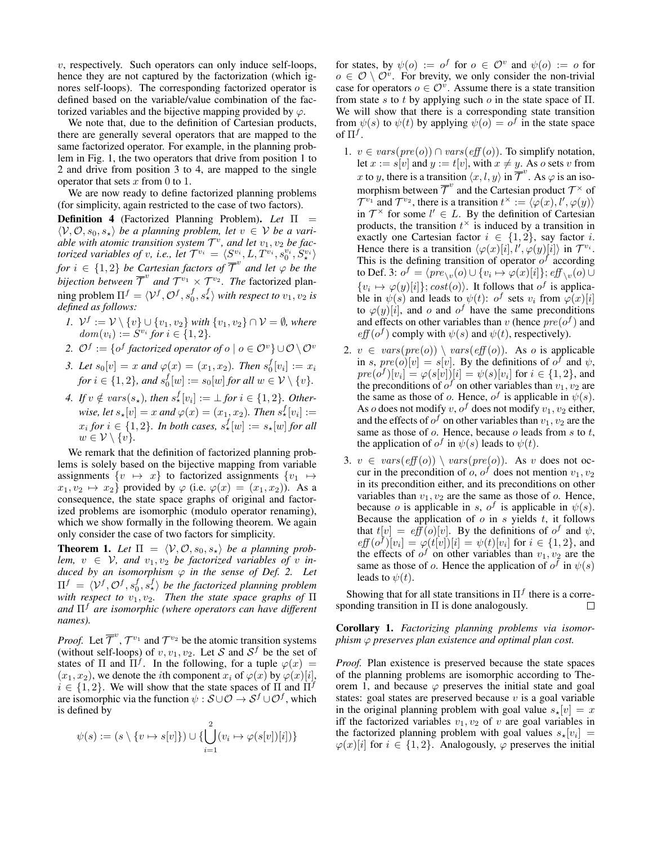$v$ , respectively. Such operators can only induce self-loops, hence they are not captured by the factorization (which ignores self-loops). The corresponding factorized operator is defined based on the variable/value combination of the factorized variables and the bijective mapping provided by  $\varphi$ .

We note that, due to the definition of Cartesian products, there are generally several operators that are mapped to the same factorized operator. For example, in the planning problem in Fig. 1, the two operators that drive from position 1 to 2 and drive from position 3 to 4, are mapped to the single operator that sets  $x$  from 0 to 1.

We are now ready to define factorized planning problems (for simplicity, again restricted to the case of two factors).

Definition 4 (Factorized Planning Problem). *Let* Π =  $\langle V, \mathcal{O}, s_0, s_\star \rangle$  *be a planning problem, let*  $v \in V$  *be a vari*able with atomic transition system  $\mathcal{T}^v$ , and let  $v_1, v_2$  be fac*torized variables of v, i.e., let*  $\mathcal{T}^{v_i} = \langle S^{v_i}, L, T^{v_i}, s_0^{v_i}, S_{\star}^{v_i} \rangle$ *for*  $i \in \{1,2\}$  *be Cartesian factors of*  $\overline{\mathcal{T}}^v$  *and let*  $\varphi$  *be the bijection between*  $\overline{\mathcal{T}}^v$  *and*  $\mathcal{T}^{v_1} \times \mathcal{T}^{v_2}$ *. The factorized plan*ning problem  $\Pi^f = \langle \mathcal{V}^f, \mathcal{O}^f, s_0^f, s_\star^f \rangle$  *with respect to*  $v_1, v_2$  *is defined as follows:*

- *1.*  $V^f := V \setminus \{v\} \cup \{v_1, v_2\}$  *with*  $\{v_1, v_2\} \cap V = \emptyset$ *, where*  $dom(v_i) := S^{v_i}$  for  $i \in \{1, 2\}.$
- 2.  $\mathcal{O}^f := \{o^f \text{ factorized operator of } o \mid o \in \mathcal{O}^v\} \cup \mathcal{O} \setminus \mathcal{O}^v$
- *3. Let*  $s_0[v] = x$  and  $\varphi(x) = (x_1, x_2)$ *. Then*  $s_0^f[v_i] := x_i$ *for*  $i \in \{1, 2\}$ *, and*  $s_0^f[w] := s_0[w]$  *for all*  $w \in V \setminus \{v\}$ *.*
- 4. If  $v \notin vars(s_*)$ , then  $s_*^f[v_i] := \bot$  for  $i \in \{1,2\}$ . Otherwise, let  $s_\star[v] = x$  and  $\varphi(x) = (x_1, x_2)$ . Then  $s_\star^f[v_i] :=$  $x_i$  *for*  $i \in \{1,2\}$ *. In both cases,*  $s^f_*[w] := s_*[w]$  *for all*  $w \in \mathcal{V} \setminus \{v\}.$

We remark that the definition of factorized planning problems is solely based on the bijective mapping from variable assignments  $\{v \mapsto x\}$  to factorized assignments  $\{v_1 \mapsto$  $x_1, v_2 \mapsto x_2$  provided by  $\varphi$  (i.e.  $\varphi(x) = (x_1, x_2)$ ). As a consequence, the state space graphs of original and factorized problems are isomorphic (modulo operator renaming), which we show formally in the following theorem. We again only consider the case of two factors for simplicity.

**Theorem 1.** Let  $\Pi = \langle V, \mathcal{O}, s_0, s_* \rangle$  *be a planning problem,*  $v \in V$ *, and*  $v_1, v_2$  *be factorized variables of v induced by an isomorphism*  $\varphi$  *in the sense of Def.* 2. Let  $\Pi^f \,=\, \langle {\cal V}^f, {\cal O}^f, s_0^f, s_\star^f \rangle$  be the factorized planning problem *with respect to*  $v_1, v_2$ *. Then the state space graphs of* Π *and* Π<sup>f</sup> *are isomorphic (where operators can have different names).*

*Proof.* Let  $\overline{\mathcal{T}}^v$ ,  $\mathcal{T}^{v_1}$  and  $\mathcal{T}^{v_2}$  be the atomic transition systems (without self-loops) of  $v, v_1, v_2$ . Let S and  $S^f$  be the set of states of  $\Pi$  and  $\Pi^f$ . In the following, for a tuple  $\varphi(x) =$  $(x_1, x_2)$ , we denote the *i*th component  $x_i$  of  $\varphi(x)$  by  $\varphi(x)[i]$ ,  $i \in \{1,2\}$ . We will show that the state spaces of  $\Pi$  and  $\Pi^f$ are isomorphic via the function  $\psi : \mathcal{S} \cup \mathcal{O} \to \mathcal{S}^f \cup \mathcal{O}^f$ , which is defined by

$$
\psi(s) := (s \setminus \{v \mapsto s[v]\}) \cup \{\bigcup_{i=1}^{2} (v_i \mapsto \varphi(s[v])[i])\}
$$

for states, by  $\psi(o) := o^f$  for  $o \in \mathcal{O}^v$  and  $\psi(o) := o$  for  $o \in \mathcal{O} \setminus \mathcal{O}^v$ . For brevity, we only consider the non-trivial case for operators  $o \in \mathcal{O}^v$ . Assume there is a state transition from state s to t by applying such  $\sigma$  in the state space of  $\Pi$ . We will show that there is a corresponding state transition from  $\psi(s)$  to  $\psi(t)$  by applying  $\psi(o) = o^f$  in the state space of  $\Pi^f$ .

- 1.  $v \in vars(pre(o)) \cap vars(eff(o))$ . To simplify notation, let  $x := s[v]$  and  $y := t[v]$ , with  $x \neq y$ . As o sets v from x to y, there is a transition  $\langle x, l, y \rangle$  in  $\overline{\mathcal{T}}^v$ . As  $\varphi$  is an isomorphism between  $\overline{\mathcal{T}}^v$  and the Cartesian product  $\mathcal{T}^\times$  of  $\mathcal{T}^{v_1}$  and  $\mathcal{T}^{v_2}$ , there is a transition  $t^{\times} := \langle \varphi(x), l', \varphi(y) \rangle$ in  $\mathcal{T}^{\times}$  for some  $l' \in L$ . By the definition of Cartesian products, the transition  $t^{\times}$  is induced by a transition in exactly one Cartesian factor  $i \in \{1, 2\}$ , say factor i. Hence there is a transition  $\langle \varphi(x)[i], l', \varphi(y)[i] \rangle$  in  $\mathcal{T}^{v_i}$ . This is the defining transition of operator  $o<sup>f</sup>$  according to Def. 3:  $o^f = \langle \overline{pre}_{\setminus v}(o) \cup \{v_i \mapsto \varphi(x)[i]\}; \overline{eff}_{\setminus v}(o) \cup$  $\{v_i \mapsto \varphi(y)[i]\}; cost(o)\rangle$ . It follows that  $o^f$  is applicable in  $\psi(s)$  and leads to  $\psi(t)$ :  $o^f$  sets  $v_i$  from  $\varphi(x)[i]$ to  $\varphi(y)[i]$ , and o and o<sup>f</sup> have the same preconditions and effects on other variables than v (hence  $pre(o^f)$  and  $eff(o^f)$  comply with  $\psi(s)$  and  $\psi(t)$ , respectively).
- 2.  $v \in vars(pre(o)) \setminus vars(eff(o))$ . As o is applicable in s,  $pre(o)[v] = s[v]$ . By the definitions of  $o^f$  and  $\psi$ ,  $pre(\overline{o}^{f})[v_{i}] = \varphi(s[v])[i] = \psi(s)[v_{i}]$  for  $i \in \{1,2\}$ , and the preconditions of  $o^f$  on other variables than  $v_1, v_2$  are the same as those of o. Hence,  $o^f$  is applicable in  $\psi(s)$ . As  $o$  does not modify  $v, o^f$  does not modify  $v_1, v_2$  either, and the effects of  $o^f$  on other variables than  $v_1, v_2$  are the same as those of  $o$ . Hence, because  $o$  leads from  $s$  to  $t$ , the application of  $o^f$  in  $\psi(s)$  leads to  $\psi(t)$ .
- 3.  $v \in vars(eff(o)) \setminus vars(pre(o))$ . As v does not occur in the precondition of  $o, o^f$  does not mention  $v_1, v_2$ in its precondition either, and its preconditions on other variables than  $v_1, v_2$  are the same as those of o. Hence, because *o* is applicable in *s*,  $o^f$  is applicable in  $\psi(s)$ . Because the application of  $o$  in  $s$  yields  $t$ , it follows that  $t[v] = e f\bar{f}(o)[v]$ . By the definitions of  $o^f$  and  $\psi$ ,  $\ell(f(\sigma^f)[v_i] = \varphi(t[v])[i] = \psi(t)[v_i]$  for  $i \in \{1,2\}$ , and the effects of  $o^f$  on other variables than  $v_1, v_2$  are the same as those of o. Hence the application of  $o^f$  in  $\psi(s)$ leads to  $\psi(t)$ .

Showing that for all state transitions in  $\Pi^f$  there is a corresponding transition in Π is done analogously.  $\Box$ 

Corollary 1. *Factorizing planning problems via isomorphism* ϕ *preserves plan existence and optimal plan cost.*

*Proof.* Plan existence is preserved because the state spaces of the planning problems are isomorphic according to Theorem 1, and because  $\varphi$  preserves the initial state and goal states: goal states are preserved because  $v$  is a goal variable in the original planning problem with goal value  $s<sub>\star</sub>[v] = x$ iff the factorized variables  $v_1, v_2$  of v are goal variables in the factorized planning problem with goal values  $s_{\star}[v_i] =$  $\varphi(x)[i]$  for  $i \in \{1,2\}$ . Analogously,  $\varphi$  preserves the initial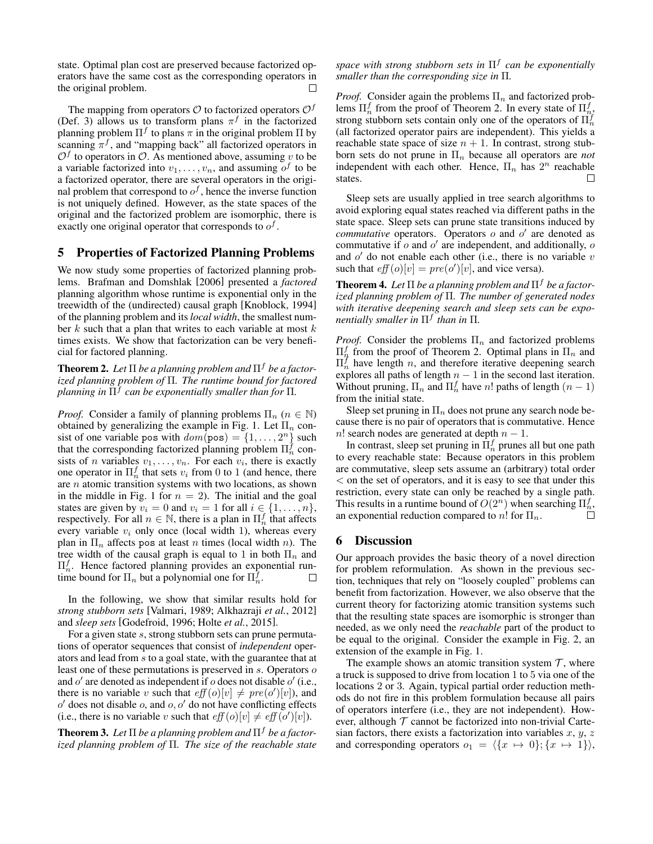state. Optimal plan cost are preserved because factorized operators have the same cost as the corresponding operators in the original problem.  $\Box$ 

The mapping from operators  $\mathcal O$  to factorized operators  $\mathcal O^f$ (Def. 3) allows us to transform plans  $\pi^f$  in the factorized planning problem  $\Pi^f$  to plans  $\pi$  in the original problem  $\Pi$  by scanning  $\pi^f$ , and "mapping back" all factorized operators in  $\mathcal{O}^f$  to operators in  $\mathcal{O}$ . As mentioned above, assuming v to be a variable factorized into  $v_1, \ldots, v_n$ , and assuming  $o^f$  to be a factorized operator, there are several operators in the original problem that correspond to  $o^f$ , hence the inverse function is not uniquely defined. However, as the state spaces of the original and the factorized problem are isomorphic, there is exactly one original operator that corresponds to  $o<sup>f</sup>$ .

#### 5 Properties of Factorized Planning Problems

We now study some properties of factorized planning problems. Brafman and Domshlak [2006] presented a *factored* planning algorithm whose runtime is exponential only in the treewidth of the (undirected) causal graph [Knoblock, 1994] of the planning problem and its *local width*, the smallest number  $k$  such that a plan that writes to each variable at most  $k$ times exists. We show that factorization can be very beneficial for factored planning.

**Theorem 2.** Let  $\Pi$  be a planning problem and  $\Pi^f$  be a factor*ized planning problem of* Π*. The runtime bound for factored planning in* Π<sup>f</sup> *can be exponentially smaller than for* Π*.*

*Proof.* Consider a family of planning problems  $\Pi_n$  ( $n \in \mathbb{N}$ ) obtained by generalizing the example in Fig. 1. Let  $\Pi_n$  consist of one variable pos with  $dom(pos) = \{1, ..., 2^n\}$  such that the corresponding factorized planning problem  $\Pi_n^f$  consists of *n* variables  $v_1, \ldots, v_n$ . For each  $v_i$ , there is exactly one operator in  $\Pi_n^f$  that sets  $v_i$  from 0 to 1 (and hence, there are  $n$  atomic transition systems with two locations, as shown in the middle in Fig. 1 for  $n = 2$ ). The initial and the goal states are given by  $v_i = 0$  and  $v_i = 1$  for all  $i \in \{1, \ldots, n\}$ , respectively. For all  $n \in \mathbb{N}$ , there is a plan in  $\Pi_n^f$  that affects every variable  $v_i$  only once (local width 1), whereas every plan in  $\Pi_n$  affects pos at least n times (local width n). The tree width of the causal graph is equal to 1 in both  $\Pi_n$  and  $\Pi_n^f$ . Hence factored planning provides an exponential runtime bound for  $\Pi_n$  but a polynomial one for  $\Pi_n^{\mathcal{J}}$ .  $\Box$ 

In the following, we show that similar results hold for *strong stubborn sets* [Valmari, 1989; Alkhazraji *et al.*, 2012] and *sleep sets* [Godefroid, 1996; Holte *et al.*, 2015].

For a given state s, strong stubborn sets can prune permutations of operator sequences that consist of *independent* operators and lead from s to a goal state, with the guarantee that at least one of these permutations is preserved in s. Operators o and  $o'$  are denoted as independent if  $o$  does not disable  $o'$  (i.e., there is no variable v such that  $eff(o)[v] \neq pre(o')[v])$ , and  $o'$  does not disable  $o$ , and  $o, o'$  do not have conflicting effects (i.e., there is no variable v such that  $\operatorname{eff}(o)[v] \neq \operatorname{eff}(o')[v]$ ).

**Theorem 3.** Let  $\Pi$  be a planning problem and  $\Pi^f$  be a factor*ized planning problem of* Π*. The size of the reachable state*

*space with strong stubborn sets in* Π<sup>f</sup> *can be exponentially smaller than the corresponding size in* Π*.*

*Proof.* Consider again the problems  $\Pi_n$  and factorized problems  $\Pi_n^f$  from the proof of Theorem 2. In every state of  $\Pi_{n_f}^f$ strong stubborn sets contain only one of the operators of  $\Pi_n^f$ (all factorized operator pairs are independent). This yields a reachable state space of size  $n + 1$ . In contrast, strong stubborn sets do not prune in  $\Pi_n$  because all operators are *not* independent with each other. Hence,  $\Pi_n$  has  $2^n$  reachable states.  $\Box$ 

Sleep sets are usually applied in tree search algorithms to avoid exploring equal states reached via different paths in the state space. Sleep sets can prune state transitions induced by *commutative* operators. Operators  $o$  and  $o'$  are denoted as commutative if  $o$  and  $o'$  are independent, and additionally,  $o$ and  $o'$  do not enable each other (i.e., there is no variable  $v$ such that  $eff(o)[v] = pre(o')[v]$ , and vice versa).

**Theorem 4.** Let  $\Pi$  be a planning problem and  $\Pi^f$  be a factor*ized planning problem of* Π*. The number of generated nodes with iterative deepening search and sleep sets can be exponentially smaller in* Π<sup>f</sup> *than in* Π*.*

*Proof.* Consider the problems  $\Pi_n$  and factorized problems  $\Pi_n^f$  from the proof of Theorem 2. Optimal plans in  $\Pi_n$  and  $\Pi_n^f$  have length *n*, and therefore iterative deepening search explores all paths of length  $n - 1$  in the second last iteration. Without pruning,  $\Pi_n$  and  $\Pi_n^f$  have n! paths of length  $(n-1)$ from the initial state.

Sleep set pruning in  $\Pi_n$  does not prune any search node because there is no pair of operators that is commutative. Hence n! search nodes are generated at depth  $n - 1$ .

In contrast, sleep set pruning in  $\Pi_n^f$  prunes all but one path to every reachable state: Because operators in this problem are commutative, sleep sets assume an (arbitrary) total order < on the set of operators, and it is easy to see that under this restriction, every state can only be reached by a single path. This results in a runtime bound of  $O(2^n)$  when searching  $\Pi_n^f$ , an exponential reduction compared to  $n!$  for  $\Pi_n$ .

#### 6 Discussion

Our approach provides the basic theory of a novel direction for problem reformulation. As shown in the previous section, techniques that rely on "loosely coupled" problems can benefit from factorization. However, we also observe that the current theory for factorizing atomic transition systems such that the resulting state spaces are isomorphic is stronger than needed, as we only need the *reachable* part of the product to be equal to the original. Consider the example in Fig. 2, an extension of the example in Fig. 1.

The example shows an atomic transition system  $\mathcal{T}$ , where a truck is supposed to drive from location 1 to 5 via one of the locations 2 or 3. Again, typical partial order reduction methods do not fire in this problem formulation because all pairs of operators interfere (i.e., they are not independent). However, although  $T$  cannot be factorized into non-trivial Cartesian factors, there exists a factorization into variables  $x, y, z$ and corresponding operators  $o_1 = \langle \{x \mapsto 0\}; \{x \mapsto 1\} \rangle$ ,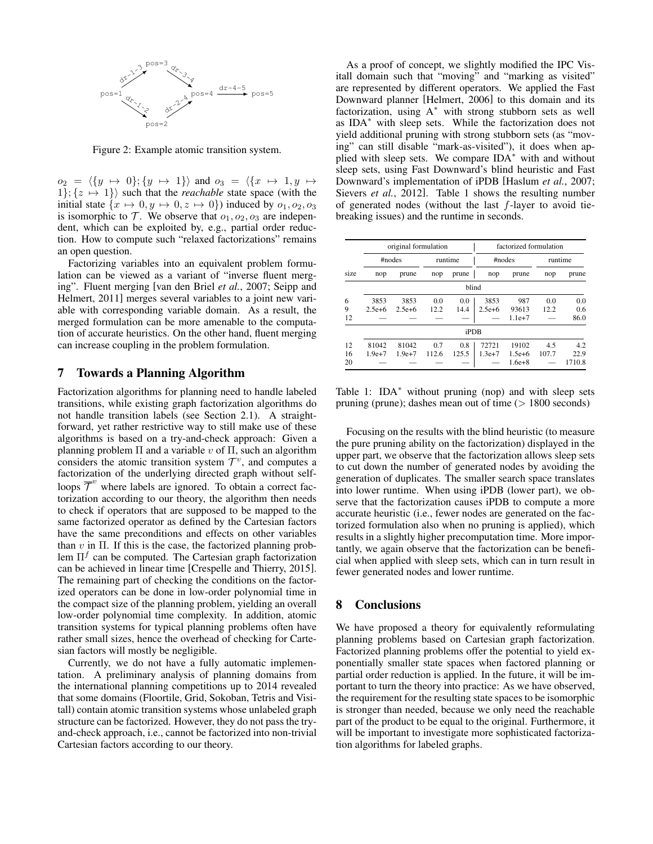

Figure 2: Example atomic transition system.

 $o_2 = \langle \{y \mapsto 0\}; \{y \mapsto 1\} \rangle$  and  $o_3 = \langle \{x \mapsto 1, y \mapsto 1\} \rangle$  $1$ ;  $\{z \mapsto 1\}$  such that the *reachable* state space (with the initial state  $\{x \mapsto 0, y \mapsto 0, z \mapsto 0\}$  induced by  $o_1, o_2, o_3$ is isomorphic to  $\mathcal T$ . We observe that  $o_1, o_2, o_3$  are independent, which can be exploited by, e.g., partial order reduction. How to compute such "relaxed factorizations" remains an open question.

Factorizing variables into an equivalent problem formulation can be viewed as a variant of "inverse fluent merging". Fluent merging [van den Briel *et al.*, 2007; Seipp and Helmert, 2011] merges several variables to a joint new variable with corresponding variable domain. As a result, the merged formulation can be more amenable to the computation of accurate heuristics. On the other hand, fluent merging can increase coupling in the problem formulation.

# 7 Towards a Planning Algorithm

Factorization algorithms for planning need to handle labeled transitions, while existing graph factorization algorithms do not handle transition labels (see Section 2.1). A straightforward, yet rather restrictive way to still make use of these algorithms is based on a try-and-check approach: Given a planning problem  $\Pi$  and a variable v of  $\Pi$ , such an algorithm considers the atomic transition system  $\mathcal{T}^v$ , and computes a factorization of the underlying directed graph without selfloops  $\overline{\mathcal{T}}^v$  where labels are ignored. To obtain a correct factorization according to our theory, the algorithm then needs to check if operators that are supposed to be mapped to the same factorized operator as defined by the Cartesian factors have the same preconditions and effects on other variables than  $v$  in  $\Pi$ . If this is the case, the factorized planning problem  $\Pi^f$  can be computed. The Cartesian graph factorization can be achieved in linear time [Crespelle and Thierry, 2015]. The remaining part of checking the conditions on the factorized operators can be done in low-order polynomial time in the compact size of the planning problem, yielding an overall low-order polynomial time complexity. In addition, atomic transition systems for typical planning problems often have rather small sizes, hence the overhead of checking for Cartesian factors will mostly be negligible.

Currently, we do not have a fully automatic implementation. A preliminary analysis of planning domains from the international planning competitions up to 2014 revealed that some domains (Floortile, Grid, Sokoban, Tetris and Visitall) contain atomic transition systems whose unlabeled graph structure can be factorized. However, they do not pass the tryand-check approach, i.e., cannot be factorized into non-trivial Cartesian factors according to our theory.

As a proof of concept, we slightly modified the IPC Visitall domain such that "moving" and "marking as visited" are represented by different operators. We applied the Fast Downward planner [Helmert, 2006] to this domain and its factorization, using  $A^*$  with strong stubborn sets as well as IDA<sup>∗</sup> with sleep sets. While the factorization does not yield additional pruning with strong stubborn sets (as "moving" can still disable "mark-as-visited"), it does when applied with sleep sets. We compare IDA<sup>∗</sup> with and without sleep sets, using Fast Downward's blind heuristic and Fast Downward's implementation of iPDB [Haslum *et al.*, 2007; Sievers *et al.*, 2012]. Table 1 shows the resulting number of generated nodes (without the last  $f$ -layer to avoid tiebreaking issues) and the runtime in seconds.

| size | original formulation |            |         |       | factorized formulation |            |         |        |
|------|----------------------|------------|---------|-------|------------------------|------------|---------|--------|
|      | #nodes               |            | runtime |       | #nodes                 |            | runtime |        |
|      | nop                  | prune      | nop     | prune | nop                    | prune      | nop     | prune  |
|      |                      |            |         | blind |                        |            |         |        |
| 6    | 3853                 | 3853       | 0.0     | 0.0   | 3853                   | 987        | 0.0     | 0.0    |
| 9    | $2.5e + 6$           | $2.5e + 6$ | 12.2    | 14.4  | $2.5e + 6$             | 93613      | 12.2    | 0.6    |
| 12   |                      |            |         |       |                        | $1.1e+7$   |         | 86.0   |
|      |                      |            |         | iPDB  |                        |            |         |        |
| 12   | 81042                | 81042      | 0.7     | 0.8   | 72721                  | 19102      | 4.5     | 4.2    |
| 16   | $1.9e+7$             | $1.9e+7$   | 112.6   | 125.5 | $1.3e+7$               | $1.5e + 6$ | 107.7   | 22.9   |
| 20   |                      |            |         |       |                        | $1.6e + 8$ |         | 1710.8 |

Table 1:  $IDA^*$  without pruning (nop) and with sleep sets pruning (prune); dashes mean out of time (> 1800 seconds)

Focusing on the results with the blind heuristic (to measure the pure pruning ability on the factorization) displayed in the upper part, we observe that the factorization allows sleep sets to cut down the number of generated nodes by avoiding the generation of duplicates. The smaller search space translates into lower runtime. When using iPDB (lower part), we observe that the factorization causes iPDB to compute a more accurate heuristic (i.e., fewer nodes are generated on the factorized formulation also when no pruning is applied), which results in a slightly higher precomputation time. More importantly, we again observe that the factorization can be beneficial when applied with sleep sets, which can in turn result in fewer generated nodes and lower runtime.

#### 8 Conclusions

We have proposed a theory for equivalently reformulating planning problems based on Cartesian graph factorization. Factorized planning problems offer the potential to yield exponentially smaller state spaces when factored planning or partial order reduction is applied. In the future, it will be important to turn the theory into practice: As we have observed, the requirement for the resulting state spaces to be isomorphic is stronger than needed, because we only need the reachable part of the product to be equal to the original. Furthermore, it will be important to investigate more sophisticated factorization algorithms for labeled graphs.